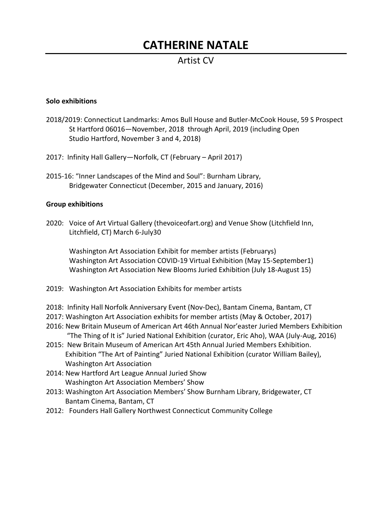# **CATHERINE NATALE**

## Artist CV

#### **Solo exhibitions**

- 2018/2019: Connecticut Landmarks: Amos Bull House and Butler-McCook House, 59 S Prospect St Hartford 06016—November, 2018 through April, 2019 (including Open Studio Hartford, November 3 and 4, 2018)
- 2017: Infinity Hall Gallery—Norfolk, CT (February April 2017)
- 2015-16: "Inner Landscapes of the Mind and Soul": Burnham Library, Bridgewater Connecticut (December, 2015 and January, 2016)

#### **Group exhibitions**

2020: Voice of Art Virtual Gallery (thevoiceofart.org) and Venue Show (Litchfield Inn, Litchfield, CT) March 6-July30

Washington Art Association Exhibit for member artists (Februarys) Washington Art Association COVID-19 Virtual Exhibition (May 15-September1) Washington Art Association New Blooms Juried Exhibition (July 18-August 15)

- 2019: Washington Art Association Exhibits for member artists
- 2018: Infinity Hall Norfolk Anniversary Event (Nov-Dec), Bantam Cinema, Bantam, CT
- 2017: Washington Art Association exhibits for member artists (May & October, 2017)
- 2016: New Britain Museum of American Art 46th Annual Nor'easter Juried Members Exhibition "The Thing of It is" Juried National Exhibition (curator, Eric Aho), WAA (July-Aug, 2016)
- 2015: New Britain Museum of American Art 45th Annual Juried Members Exhibition. Exhibition "The Art of Painting" Juried National Exhibition (curator William Bailey), Washington Art Association
- 2014: New Hartford Art League Annual Juried Show Washington Art Association Members' Show
- 2013: Washington Art Association Members' Show Burnham Library, Bridgewater, CT Bantam Cinema, Bantam, CT
- 2012: Founders Hall Gallery Northwest Connecticut Community College